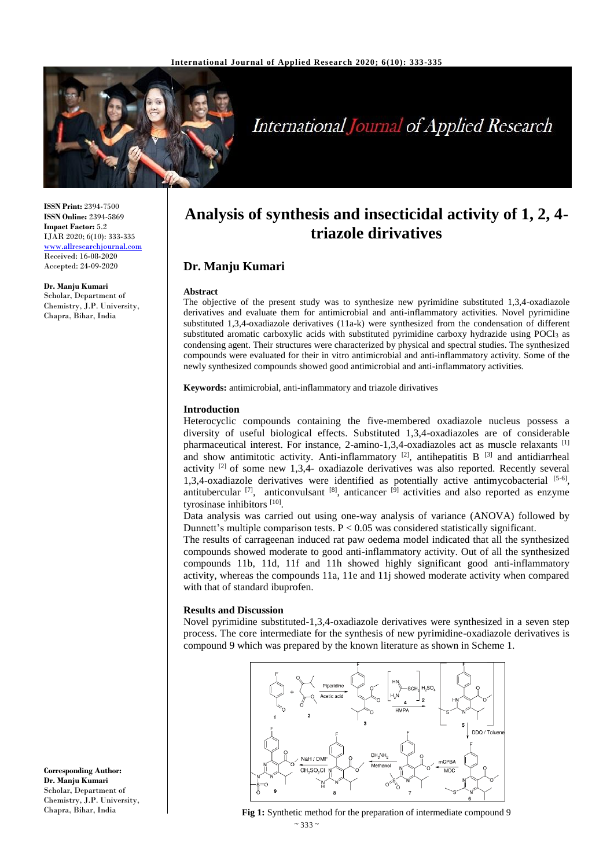

# **International Journal of Applied Research**

**ISSN Print:** 2394-7500 **ISSN Online:** 2394-5869 **Impact Factor:** 5.2 IJAR 2020; 6(10): 333-335 <www.allresearchjournal.com> Received: 16-08-2020 Accepted: 24-09-2020

**Dr. Manju Kumari** Scholar, Department of Chemistry, J.P. University, Chapra, Bihar, India

# **Analysis of synthesis and insecticidal activity of 1, 2, 4 triazole dirivatives**

# **Dr. Manju Kumari**

#### **Abstract**

The objective of the present study was to synthesize new pyrimidine substituted 1,3,4-oxadiazole derivatives and evaluate them for antimicrobial and anti-inflammatory activities. Novel pyrimidine substituted 1,3,4-oxadiazole derivatives (11a-k) were synthesized from the condensation of different substituted aromatic carboxylic acids with substituted pyrimidine carboxy hydrazide using POCl<sub>3</sub> as condensing agent. Their structures were characterized by physical and spectral studies. The synthesized compounds were evaluated for their in vitro antimicrobial and anti-inflammatory activity. Some of the newly synthesized compounds showed good antimicrobial and anti-inflammatory activities.

**Keywords:** antimicrobial, anti-inflammatory and triazole dirivatives

#### **Introduction**

Heterocyclic compounds containing the five-membered oxadiazole nucleus possess a diversity of useful biological effects. Substituted 1,3,4-oxadiazoles are of considerable pharmaceutical interest. For instance, 2-amino-1,3,4-oxadiazoles act as muscle relaxants [1] and show antimitotic activity. Anti-inflammatory  $[2]$ , antihepatitis B  $[3]$  and antidiarrheal activity  $^{[2]}$  of some new 1,3,4- oxadiazole derivatives was also reported. Recently several 1,3,4-oxadiazole derivatives were identified as potentially active antimycobacterial  $[5-6]$ , antitubercular  $^{[7]}$ , anticonvulsant  $^{[8]}$ , anticancer  $^{[9]}$  activities and also reported as enzyme tyrosinase inhibitors [10].

Data analysis was carried out using one-way analysis of variance (ANOVA) followed by Dunnett's multiple comparison tests.  $P < 0.05$  was considered statistically significant.

The results of carrageenan induced rat paw oedema model indicated that all the synthesized compounds showed moderate to good anti-inflammatory activity. Out of all the synthesized compounds 11b, 11d, 11f and 11h showed highly significant good anti-inflammatory activity, whereas the compounds 11a, 11e and 11j showed moderate activity when compared with that of standard ibuprofen.

#### **Results and Discussion**

Novel pyrimidine substituted-1,3,4-oxadiazole derivatives were synthesized in a seven step process. The core intermediate for the synthesis of new pyrimidine-oxadiazole derivatives is compound 9 which was prepared by the known literature as shown in Scheme 1.



 $~\sim$  333  $~\sim$ **Fig 1:** Synthetic method for the preparation of intermediate compound 9

**Corresponding Author: Dr. Manju Kumari** Scholar, Department of Chemistry, J.P. University, Chapra, Bihar, India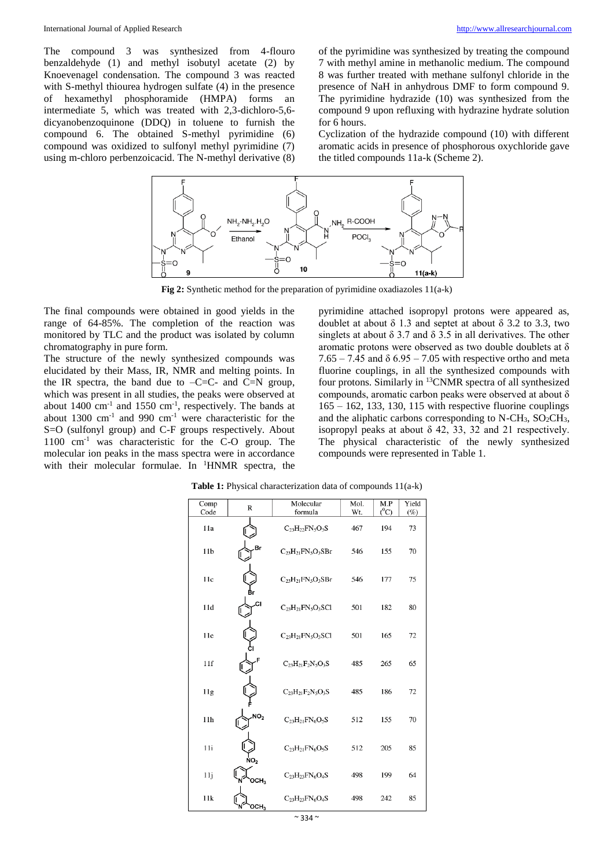The compound 3 was synthesized from 4-flouro benzaldehyde (1) and methyl isobutyl acetate (2) by Knoevenagel condensation. The compound 3 was reacted with S-methyl thiourea hydrogen sulfate (4) in the presence<br>of hexamethyl phosphoramide (HMPA) forms an of hexamethyl phosphoramide intermediate 5, which was treated with 2,3-dichloro-5,6 dicyanobenzoquinone (DDQ) in toluene to furnish the compound 6. The obtained S-methyl pyrimidine (6) compound was oxidized to sulfonyl methyl pyrimidine (7) using m-chloro perbenzoicacid. The N-methyl derivative (8) of the pyrimidine was synthesized by treating the compound 7 with methyl amine in methanolic medium. The compound 8 was further treated with methane sulfonyl chloride in the presence of NaH in anhydrous DMF to form compound 9. The pyrimidine hydrazide (10) was synthesized from the compound 9 upon refluxing with hydrazine hydrate solution for 6 hours.

Cyclization of the hydrazide compound (10) with different aromatic acids in presence of phosphorous oxychloride gave the titled compounds 11a-k (Scheme 2).



**Fig 2:** Synthetic method for the preparation of pyrimidine oxadiazoles 11(a-k)

The final compounds were obtained in good yields in the range of 64-85%. The completion of the reaction was monitored by TLC and the product was isolated by column chromatography in pure form.

The structure of the newly synthesized compounds was elucidated by their Mass, IR, NMR and melting points. In the IR spectra, the band due to  $-C=C$ - and  $C=N$  group, which was present in all studies, the peaks were observed at about  $1400 \text{ cm}^{-1}$  and  $1550 \text{ cm}^{-1}$ , respectively. The bands at about 1300 cm-1 and 990 cm-1 were characteristic for the S=O (sulfonyl group) and C-F groups respectively. About 1100 cm<sup>-1</sup> was characteristic for the C-O group. The molecular ion peaks in the mass spectra were in accordance with their molecular formulae. In <sup>1</sup>HNMR spectra, the

pyrimidine attached isopropyl protons were appeared as, doublet at about δ 1.3 and septet at about δ 3.2 to 3.3, two singlets at about  $\delta$  3.7 and  $\delta$  3.5 in all derivatives. The other aromatic protons were observed as two double doublets at  $\delta$  $7.65 - 7.45$  and  $\delta$  6.95 – 7.05 with respective ortho and meta fluorine couplings, in all the synthesized compounds with four protons. Similarly in <sup>13</sup>CNMR spectra of all synthesized compounds, aromatic carbon peaks were observed at about δ 165 – 162, 133, 130, 115 with respective fluorine couplings and the aliphatic carbons corresponding to  $N\text{-CH}_3$ ,  $SO_2CH_3$ , isopropyl peaks at about  $\delta$  42, 33, 32 and 21 respectively. The physical characteristic of the newly synthesized compounds were represented in Table 1.

| Comp            | R                            | Molecular                      | Mol. | M.P     | Yield  |
|-----------------|------------------------------|--------------------------------|------|---------|--------|
| Code            |                              | formula                        | Wt.  | $(^0C)$ | $(\%)$ |
| 11a             |                              | $C_{23}H_{22}FN_5O_3S$         | 467  | 194     | 73     |
| 11 <sub>b</sub> | Br                           | $C_{23}H_{21}FN_5O_3SBr$       | 546  | 155     | 70     |
| 11c             |                              | $C_{23}H_{21}FN_5O_3SBr$       | 546  | 177     | 75     |
| 11d             | CI.                          | $C_{23}H_{21}FN_5O_3SC1$       | 501  | 182     | 80     |
| 11 <sub>c</sub> |                              | $C_{23}H_{21}FN_5O_3SC1$       | 501  | 165     | 72     |
| 11f             |                              | $C_{23}H_{21}F_{2}N_{5}O_{3}S$ | 485  | 265     | 65     |
| 11g             |                              | $C_{23}H_{21}F_{2}N_{5}O_{3}S$ | 485  | 186     | 72     |
| 11h             | NO <sub>2</sub>              | $C_{23}H_{21}FN_6O_5S$         | 512  | 155     | 70     |
| 11i             | $\boldsymbol{\mathsf{No}}_2$ | $C_{23}H_{21}FN_6O_5S$         | 512  | 205     | 85     |
| 11j             | OCH3                         | $C_{23}H_{23}FN_6O_4S$         | 498  | 199     | 64     |
| 11k             | осн.                         | $C_{23}H_{23}FN_6O_4S$         | 498  | 242     | 85     |

**Table 1:** Physical characterization data of compounds 11(a-k)